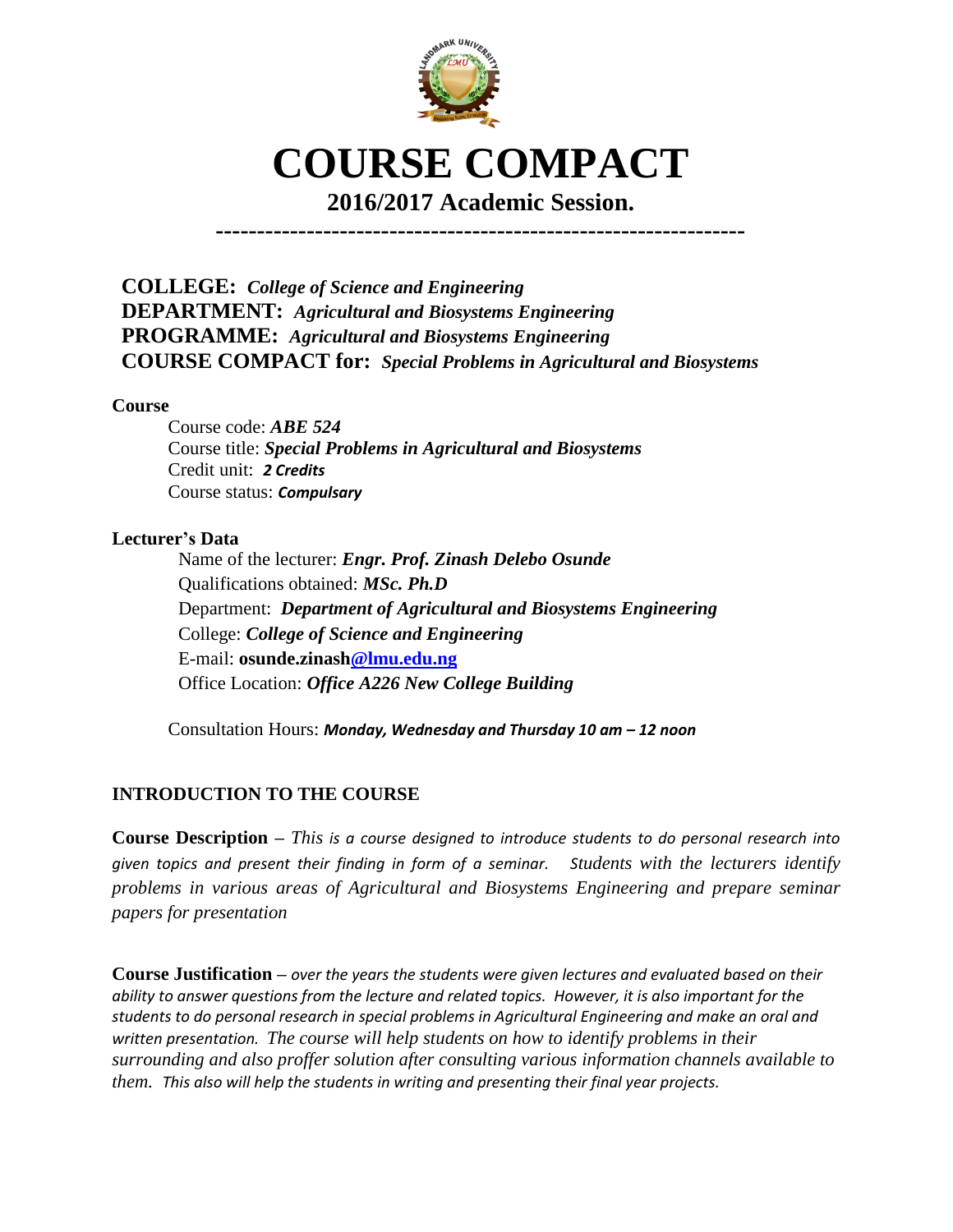

# **COURSE COMPACT**

**2016/2017 Academic Session. ----------------------------------------------------------------**

**COLLEGE:** *College of Science and Engineering* **DEPARTMENT:** *Agricultural and Biosystems Engineering* **PROGRAMME:** *Agricultural and Biosystems Engineering* **COURSE COMPACT for:** *Special Problems in Agricultural and Biosystems*

### **Course**

Course code: *ABE 524* Course title: *Special Problems in Agricultural and Biosystems* Credit unit: *2 Credits* Course status: *Compulsary*

## **Lecturer's Data**

Name of the lecturer: *Engr. Prof. Zinash Delebo Osunde* Qualifications obtained: *MSc. Ph.D* Department: *Department of Agricultural and Biosystems Engineering* College: *College of Science and Engineering* E-mail: **osunde.zinash@lmu.edu.ng** Office Location: *Office A226 New College Building*

Consultation Hours: Monday, Wednesday and Thursday 10 am - 12 noon

# **INTRODUCTION TO THE COURSE**

**Course Description –** *This is a course designed to introduce students to do personal research into given topics and present their finding in form of a seminar. Students with the lecturers identify problems in various areas of Agricultural and Biosystems Engineering and prepare seminar papers for presentation*

**Course Justification –** *over the years the students were given lectures and evaluated based on their ability to answer questions from the lecture and related topics. However, it is also important for the students to do personal research in special problems in Agricultural Engineering and make an oral and written presentation. The course will help students on how to identify problems in their surrounding and also proffer solution after consulting various information channels available to them. This also will help the students in writing and presenting their final year projects.*